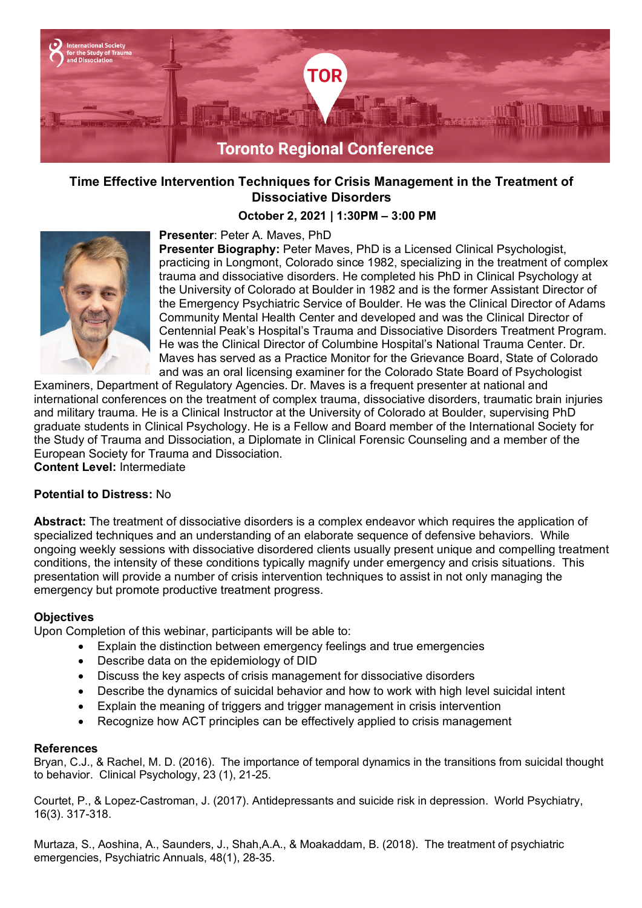

# **Time Effective Intervention Techniques for Crisis Management in the Treatment of Dissociative Disorders**

## **October 2, 2021 | 1:30PM – 3:00 PM**



## **Presenter**: Peter A. Maves, PhD

**Presenter Biography:** Peter Maves, PhD is a Licensed Clinical Psychologist, practicing in Longmont, Colorado since 1982, specializing in the treatment of complex trauma and dissociative disorders. He completed his PhD in Clinical Psychology at the University of Colorado at Boulder in 1982 and is the former Assistant Director of the Emergency Psychiatric Service of Boulder. He was the Clinical Director of Adams Community Mental Health Center and developed and was the Clinical Director of Centennial Peak's Hospital's Trauma and Dissociative Disorders Treatment Program. He was the Clinical Director of Columbine Hospital's National Trauma Center. Dr. Maves has served as a Practice Monitor for the Grievance Board, State of Colorado and was an oral licensing examiner for the Colorado State Board of Psychologist

Examiners, Department of Regulatory Agencies. Dr. Maves is a frequent presenter at national and international conferences on the treatment of complex trauma, dissociative disorders, traumatic brain injuries and military trauma. He is a Clinical Instructor at the University of Colorado at Boulder, supervising PhD graduate students in Clinical Psychology. He is a Fellow and Board member of the International Society for the Study of Trauma and Dissociation, a Diplomate in Clinical Forensic Counseling and a member of the European Society for Trauma and Dissociation.

**Content Level:** Intermediate

#### **Potential to Distress:** No

**Abstract:** The treatment of dissociative disorders is a complex endeavor which requires the application of specialized techniques and an understanding of an elaborate sequence of defensive behaviors. While ongoing weekly sessions with dissociative disordered clients usually present unique and compelling treatment conditions, the intensity of these conditions typically magnify under emergency and crisis situations. This presentation will provide a number of crisis intervention techniques to assist in not only managing the emergency but promote productive treatment progress.

#### **Objectives**

Upon Completion of this webinar, participants will be able to:

- Explain the distinction between emergency feelings and true emergencies
- Describe data on the epidemiology of DID
- Discuss the key aspects of crisis management for dissociative disorders
- Describe the dynamics of suicidal behavior and how to work with high level suicidal intent
- Explain the meaning of triggers and trigger management in crisis intervention
- Recognize how ACT principles can be effectively applied to crisis management

#### **References**

Bryan, C.J., & Rachel, M. D. (2016). The importance of temporal dynamics in the transitions from suicidal thought to behavior. Clinical Psychology, 23 (1), 21-25.

Courtet, P., & Lopez-Castroman, J. (2017). Antidepressants and suicide risk in depression. World Psychiatry, 16(3). 317-318.

Murtaza, S., Aoshina, A., Saunders, J., Shah,A.A., & Moakaddam, B. (2018). The treatment of psychiatric emergencies, Psychiatric Annuals, 48(1), 28-35.